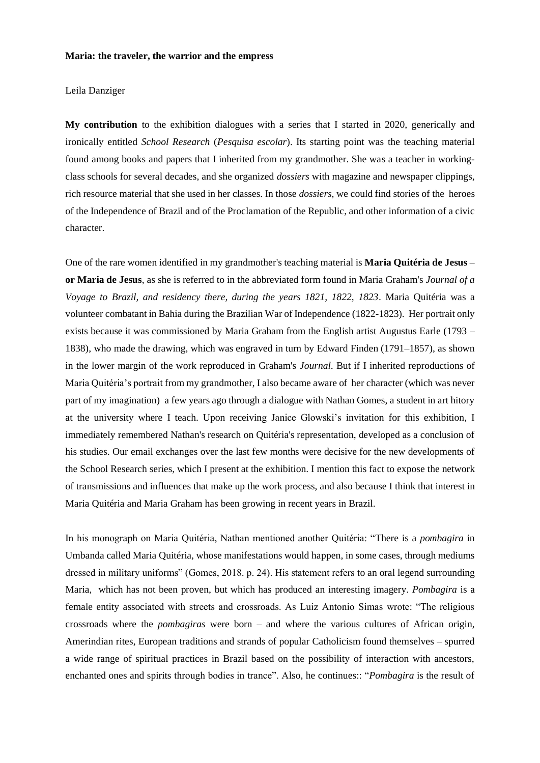## **Maria: the traveler, the warrior and the empress**

Leila Danziger

**My contribution** to the exhibition dialogues with a series that I started in 2020, generically and ironically entitled *School Research* (*Pesquisa escolar*). Its starting point was the teaching material found among books and papers that I inherited from my grandmother. She was a teacher in workingclass schools for several decades, and she organized *dossiers* with magazine and newspaper clippings, rich resource material that she used in her classes. In those *dossiers*, we could find stories of the heroes of the Independence of Brazil and of the Proclamation of the Republic, and other information of a civic character.

One of the rare women identified in my grandmother's teaching material is **Maria Quitéria de Jesus** – **or Maria de Jesus**, as she is referred to in the abbreviated form found in Maria Graham's *Journal of a Voyage to Brazil, and residency there, during the years 1821, 1822, 1823*. Maria Quitéria was a volunteer combatant in Bahia during the Brazilian War of Independence (1822-1823). Her portrait only exists because it was commissioned by Maria Graham from the English artist Augustus Earle (1793 – 1838), who made the drawing, which was engraved in turn by Edward Finden (1791–1857), as shown in the lower margin of the work reproduced in Graham's *Journal*. But if I inherited reproductions of Maria Quitéria's portrait from my grandmother, I also became aware of her character (which was never part of my imagination) a few years ago through a dialogue with Nathan Gomes, a student in art hitory at the university where I teach. Upon receiving Janice Glowski's invitation for this exhibition, I immediately remembered Nathan's research on Quitéria's representation, developed as a conclusion of his studies. Our email exchanges over the last few months were decisive for the new developments of the School Research series, which I present at the exhibition. I mention this fact to expose the network of transmissions and influences that make up the work process, and also because I think that interest in Maria Quitéria and Maria Graham has been growing in recent years in Brazil.

In his monograph on Maria Quitéria, Nathan mentioned another Quitéria: "There is a *pombagira* in Umbanda called Maria Quitéria, whose manifestations would happen, in some cases, through mediums dressed in military uniforms" (Gomes, 2018. p. 24). His statement refers to an oral legend surrounding Maria, which has not been proven, but which has produced an interesting imagery. *Pombagira* is a female entity associated with streets and crossroads. As Luiz Antonio Simas wrote: "The religious crossroads where the *pombagiras* were born – and where the various cultures of African origin, Amerindian rites, European traditions and strands of popular Catholicism found themselves – spurred a wide range of spiritual practices in Brazil based on the possibility of interaction with ancestors, enchanted ones and spirits through bodies in trance". Also, he continues:: "*Pombagira* is the result of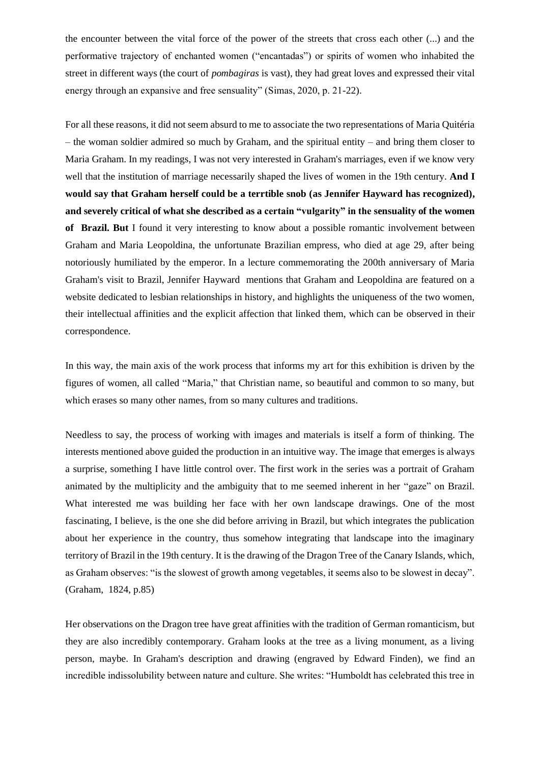the encounter between the vital force of the power of the streets that cross each other (...) and the performative trajectory of enchanted women ("encantadas") or spirits of women who inhabited the street in different ways (the court of *pombagiras* is vast), they had great loves and expressed their vital energy through an expansive and free sensuality" (Simas, 2020, p. 21-22).

For all these reasons, it did not seem absurd to me to associate the two representations of Maria Quitéria – the woman soldier admired so much by Graham, and the spiritual entity – and bring them closer to Maria Graham. In my readings, I was not very interested in Graham's marriages, even if we know very well that the institution of marriage necessarily shaped the lives of women in the 19th century. **And I would say that Graham herself could be a terrtible snob (as Jennifer Hayward has recognized), and severely critical of what she described as a certain "vulgarity" in the sensuality of the women of Brazil. But** I found it very interesting to know about a possible romantic involvement between Graham and Maria Leopoldina, the unfortunate Brazilian empress, who died at age 29, after being notoriously humiliated by the emperor. In a lecture commemorating the 200th anniversary of Maria Graham's visit to Brazil, Jennifer Hayward mentions that Graham and Leopoldina are featured on a website dedicated to lesbian relationships in history, and highlights the uniqueness of the two women, their intellectual affinities and the explicit affection that linked them, which can be observed in their correspondence.

In this way, the main axis of the work process that informs my art for this exhibition is driven by the figures of women, all called "Maria," that Christian name, so beautiful and common to so many, but which erases so many other names, from so many cultures and traditions.

Needless to say, the process of working with images and materials is itself a form of thinking. The interests mentioned above guided the production in an intuitive way. The image that emerges is always a surprise, something I have little control over. The first work in the series was a portrait of Graham animated by the multiplicity and the ambiguity that to me seemed inherent in her "gaze" on Brazil. What interested me was building her face with her own landscape drawings. One of the most fascinating, I believe, is the one she did before arriving in Brazil, but which integrates the publication about her experience in the country, thus somehow integrating that landscape into the imaginary territory of Brazil in the 19th century. It is the drawing of the Dragon Tree of the Canary Islands, which, as Graham observes: "is the slowest of growth among vegetables, it seems also to be slowest in decay". (Graham, 1824, p.85)

Her observations on the Dragon tree have great affinities with the tradition of German romanticism, but they are also incredibly contemporary. Graham looks at the tree as a living monument, as a living person, maybe. In Graham's description and drawing (engraved by Edward Finden), we find an incredible indissolubility between nature and culture. She writes: "Humboldt has celebrated this tree in